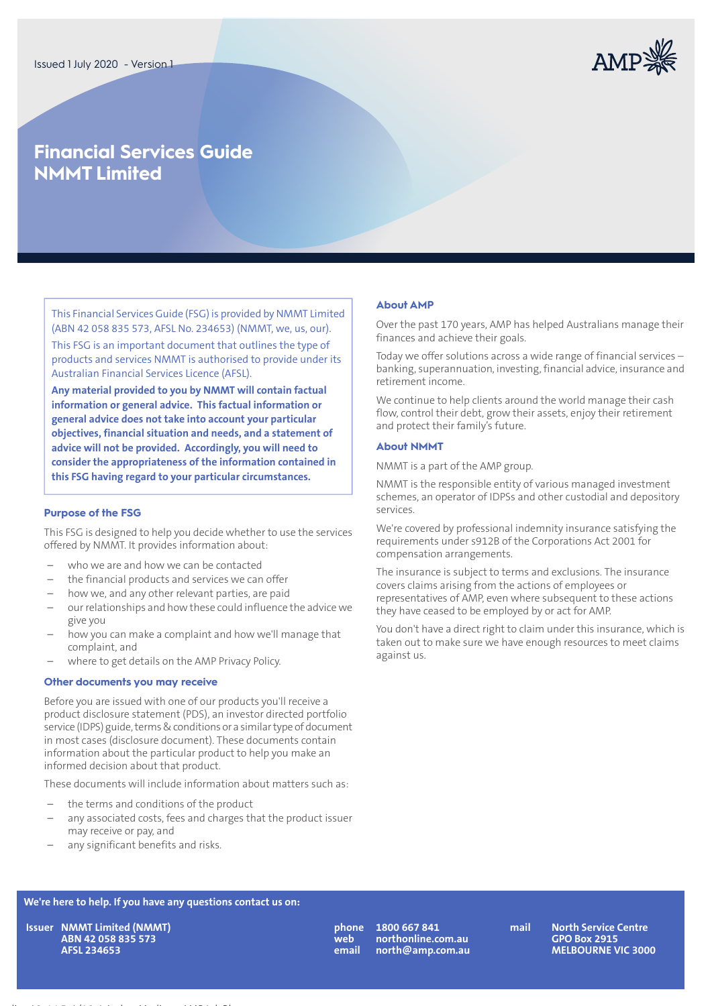

# **Financial Services Guide NMMT Limited**

This Financial Services Guide (FSG) is provided by NMMT Limited (ABN 42 058 835 573, AFSL No. 234653) (NMMT, we, us, our). This FSG is an important document that outlines the type of products and services NMMT is authorised to provide under its Australian Financial Services Licence (AFSL).

**Any material provided to you by NMMT will contain factual information or general advice. This factual information or general advice does not take into account your particular objectives, financial situation and needs, and a statement of advice will not be provided. Accordingly, you will need to consider the appropriateness of the information contained in this FSG having regard to your particular circumstances.**

#### **Purpose of the FSG**

This FSG is designed to help you decide whether to use the services offered by NMMT. It provides information about:

- who we are and how we can be contacted
- the financial products and services we can offer
- how we, and any other relevant parties, are paid
- ourrelationships and how these could influence the advice we give you
- how you can make a complaint and how we'll manage that complaint, and
- where to get details on the AMP Privacy Policy.

#### **Other documents you may receive**

Before you are issued with one of our products you'll receive a product disclosure statement (PDS), an investor directed portfolio service (IDPS) guide, terms & conditions or a similar type of document in most cases (disclosure document). These documents contain information about the particular product to help you make an informed decision about that product.

These documents will include information about matters such as:

- the terms and conditions of the product
- any associated costs, fees and charges that the product issuer may receive or pay, and
- any significant benefits and risks.

#### **About AMP**

Over the past 170 years, AMP has helped Australians manage their finances and achieve their goals.

Today we offer solutions across a wide range of financial services – banking, superannuation, investing, financial advice, insurance and retirement income.

We continue to help clients around the world manage their cash flow, control their debt, grow their assets, enjoy their retirement and protect their family's future.

#### **About NMMT**

NMMT is a part of the AMP group.

NMMT is the responsible entity of various managed investment schemes, an operator of IDPSs and other custodial and depository services.

We're covered by professional indemnity insurance satisfying the requirements under s912B of the Corporations Act 2001 for compensation arrangements.

The insurance is subject to terms and exclusions. The insurance covers claims arising from the actions of employees or representatives of AMP, even where subsequent to these actions they have ceased to be employed by or act for AMP.

You don't have a direct right to claim under this insurance, which is taken out to make sure we have enough resources to meet claims against us.

## **We're here to help. If you have any questions contact us on:**

**NMMT Limited (NMMT) IssuerABN 42 058 835 573 AFSL 234653**

Heading L2, 14.5pt/16pt Archer Medium, AMP Ink Blue

**web email**

**1800 667 841 mail phone northonline.com.au north@amp.com.au**

**North Service Centre GPO Box 2915 MELBOURNE VIC 3000**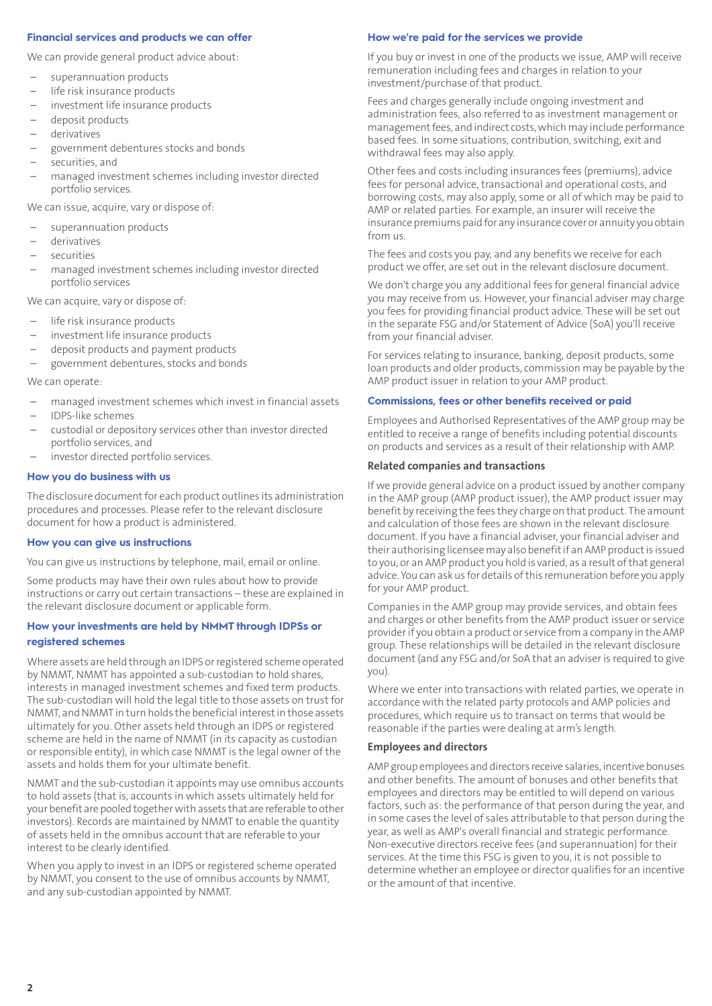#### **Financial services and products we can offer**

We can provide general product advice about:

- superannuation products
- life risk insurance products
- investment life insurance products
- deposit products
- derivatives
- government debentures stocks and bonds
- securities, and
- managed investment schemes including investor directed portfolio services.

We can issue, acquire, vary or dispose of:

- superannuation products
- derivatives
- securities
- managed investment schemes including investor directed portfolio services

We can acquire, vary or dispose of:

- life risk insurance products
- investment life insurance products
- deposit products and payment products
- government debentures, stocks and bonds

#### We can operate:

- managed investment schemes which invest in financial assets
- IDPS-like schemes
- custodial or depository services other than investor directed portfolio services, and
- investor directed portfolio services.

#### **How you do business with us**

The disclosure document for each product outlines its administration procedures and processes. Please refer to the relevant disclosure document for how a product is administered.

#### **How you can give us instructions**

You can give us instructions by telephone, mail, email or online.

Some products may have their own rules about how to provide instructions or carry out certain transactions – these are explained in the relevant disclosure document or applicable form.

## **How your investments are held by NMMT through IDPSs or registered schemes**

Where assets are held through an IDPS or registered scheme operated by NMMT, NMMT has appointed a sub-custodian to hold shares, interests in managed investment schemes and fixed term products. The sub-custodian will hold the legal title to those assets on trust for NMMT, and NMMT in turn holds the beneficial interestin those assets ultimately for you. Other assets held through an IDPS or registered scheme are held in the name of NMMT (in its capacity as custodian or responsible entity), in which case NMMT is the legal owner of the assets and holds them for your ultimate benefit.

NMMT and the sub-custodian it appoints may use omnibus accounts to hold assets (that is, accounts in which assets ultimately held for your benefit are pooled together with assets that are referable to other investors). Records are maintained by NMMT to enable the quantity of assets held in the omnibus account that are referable to your interest to be clearly identified.

When you apply to invest in an IDPS or registered scheme operated by NMMT, you consent to the use of omnibus accounts by NMMT, and any sub-custodian appointed by NMMT.

#### **How we're paid for the services we provide**

If you buy or invest in one of the products we issue, AMP will receive remuneration including fees and charges in relation to your investment/purchase of that product.

Fees and charges generally include ongoing investment and administration fees, also referred to as investment management or management fees, and indirect costs, which may include performance based fees. In some situations, contribution, switching, exit and withdrawal fees may also apply.

Other fees and costs including insurances fees (premiums), advice fees for personal advice, transactional and operational costs, and borrowing costs, may also apply, some or all of which may be paid to AMP or related parties. For example, an insurer will receive the insurance premiums paid for any insurance cover or annuity you obtain from us.

The fees and costs you pay, and any benefits we receive for each product we offer, are set out in the relevant disclosure document.

We don't charge you any additional fees for general financial advice you may receive from us. However, your financial adviser may charge you fees for providing financial product advice. These will be set out in the separate FSG and/or Statement of Advice (SoA) you'll receive from your financial adviser.

For services relating to insurance, banking, deposit products, some loan products and older products, commission may be payable by the AMP product issuer in relation to your AMP product.

#### **Commissions, fees or other benefits received or paid**

Employees and Authorised Representatives of the AMP group may be entitled to receive a range of benefits including potential discounts on products and services as a result of their relationship with AMP.

#### **Related companies and transactions**

If we provide general advice on a product issued by another company in the AMP group (AMP product issuer), the AMP product issuer may benefit by receiving the fees they charge on that product. The amount and calculation of those fees are shown in the relevant disclosure document. If you have a financial adviser, your financial adviser and their authorising licensee may also benefit if an AMP product is issued to you, or an AMP product you hold is varied, as a result ofthat general advice. You can ask us for details ofthis remuneration before you apply for your AMP product.

Companies in the AMP group may provide services, and obtain fees and charges or other benefits from the AMP product issuer or service provider if you obtain a product or service from a company in the AMP group. These relationships will be detailed in the relevant disclosure document (and any FSG and/or SoA that an adviser is required to give you).

Where we enter into transactions with related parties, we operate in accordance with the related party protocols and AMP policies and procedures, which require us to transact on terms that would be reasonable if the parties were dealing at arm's length.

#### **Employees and directors**

AMP group employees and directors receive salaries, incentive bonuses and other benefits. The amount of bonuses and other benefits that employees and directors may be entitled to will depend on various factors, such as: the performance of that person during the year, and in some cases the level of sales attributable to that person during the year, as well as AMP's overall financial and strategic performance. Non-executive directors receive fees (and superannuation) for their services. At the time this FSG is given to you, it is not possible to determine whether an employee or director qualifies for an incentive or the amount of that incentive.